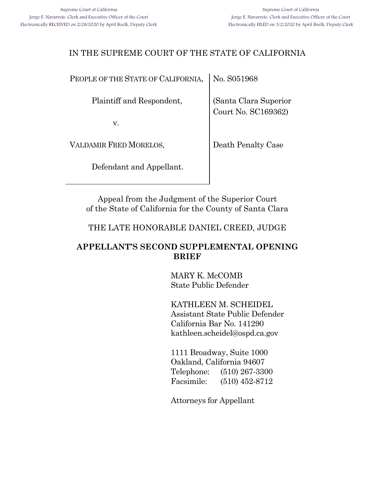## IN THE SUPREME COURT OF THE STATE OF CALIFORNIA

PEOPLE OF THE STATE OF CALIFORNIA,

Plaintiff and Respondent,

v.

VALDAMIR FRED MORELOS,

Defendant and Appellant.

No. S051968

(Santa Clara Superior Court No. SC169362)

Death Penalty Case

Appeal from the Judgment of the Superior Court of the State of California for the County of Santa Clara

THE LATE HONORABLE DANIEL CREED, JUDGE

## **APPELLANT'S SECOND SUPPLEMENTAL OPENING BRIEF**

MARY K. McCOMB State Public Defender

KATHLEEN M. SCHEIDEL Assistant State Public Defender California Bar No. 141290 kathleen.scheidel@ospd.ca.gov

1111 Broadway, Suite 1000 Oakland, California 94607 Telephone: (510) 267-3300 Facsimile: (510) 452-8712

Attorneys for Appellant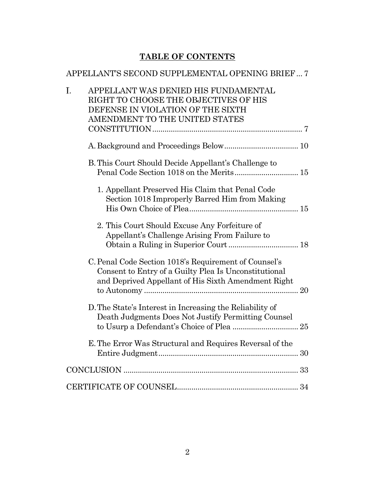## **TABLE OF CONTENTS**

# [APPELLANT'S SECOND SUPPLEMENTAL OPENING BRIEF...](#page-6-0) 7

| I. | APPELLANT WAS DENIED HIS FUNDAMENTAL                                                                           |  |
|----|----------------------------------------------------------------------------------------------------------------|--|
|    | RIGHT TO CHOOSE THE OBJECTIVES OF HIS                                                                          |  |
|    | DEFENSE IN VIOLATION OF THE SIXTH                                                                              |  |
|    | AMENDMENT TO THE UNITED STATES                                                                                 |  |
|    |                                                                                                                |  |
|    |                                                                                                                |  |
|    | B. This Court Should Decide Appellant's Challenge to                                                           |  |
|    | Penal Code Section 1018 on the Merits 15                                                                       |  |
|    | 1. Appellant Preserved His Claim that Penal Code                                                               |  |
|    | Section 1018 Improperly Barred Him from Making                                                                 |  |
|    |                                                                                                                |  |
|    | 2. This Court Should Excuse Any Forfeiture of                                                                  |  |
|    | Appellant's Challenge Arising From Failure to                                                                  |  |
|    |                                                                                                                |  |
|    | C. Penal Code Section 1018's Requirement of Counsel's<br>Consent to Entry of a Guilty Plea Is Unconstitutional |  |
|    | and Deprived Appellant of His Sixth Amendment Right                                                            |  |
|    |                                                                                                                |  |
|    | D. The State's Interest in Increasing the Reliability of                                                       |  |
|    | Death Judgments Does Not Justify Permitting Counsel                                                            |  |
|    |                                                                                                                |  |
|    | E. The Error Was Structural and Requires Reversal of the                                                       |  |
|    |                                                                                                                |  |
|    |                                                                                                                |  |
|    |                                                                                                                |  |
|    |                                                                                                                |  |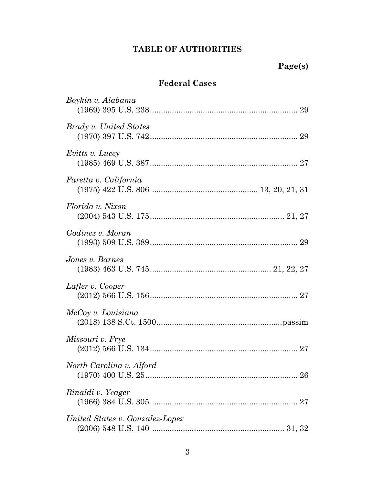# **TABLE OF AUTHORITIES**

## **Federal Cases**

| Boykin v. Alabama               |
|---------------------------------|
| Brady v. United States          |
| <i>Evitts v. Lucey</i>          |
| Faretta v. California           |
| Florida v. Nixon                |
| Godinez v. Moran                |
| Jones v. Barnes                 |
| Lafler v. Cooper                |
| McCoy v. Louisiana              |
| Missouri v. Frye                |
| North Carolina v. Alford        |
| Rinaldi v. Yeager               |
| United States v. Gonzalez-Lopez |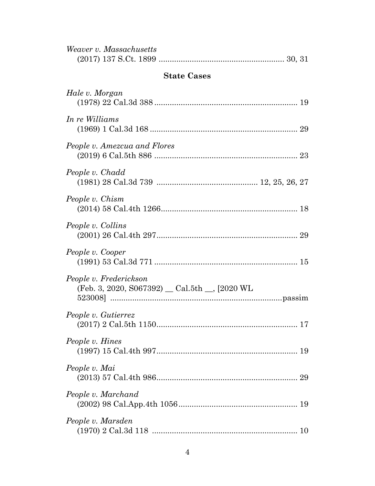| Weaver v. Massachusetts                                                 |
|-------------------------------------------------------------------------|
| <b>State Cases</b>                                                      |
| Hale v. Morgan                                                          |
| In re Williams                                                          |
| People v. Amezcua and Flores                                            |
| People v. Chadd                                                         |
| People v. Chism                                                         |
| People v. Collins                                                       |
| People v. Cooper                                                        |
| People v. Frederickson<br>(Feb. 3, 2020, S067392) _ Cal.5th _, [2020 WL |
| People v. Gutierrez                                                     |
| People v. Hines                                                         |
| People v. Mai                                                           |
| People v. Marchand                                                      |
| People v. Marsden                                                       |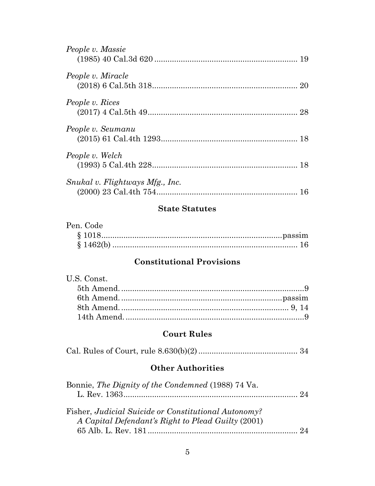| People v. Massie                |  |
|---------------------------------|--|
| People v. Miracle               |  |
| People v. Rices                 |  |
| People v. Seumanu               |  |
| People v. Welch                 |  |
| Snukal v. Flightways Mfg., Inc. |  |

## **State Statutes**

| Pen. Code |  |
|-----------|--|
|           |  |
|           |  |

## **Constitutional Provisions**

| U.S. Const. |  |
|-------------|--|
|             |  |
|             |  |
|             |  |
|             |  |

## **Court Rules**

|--|--|

## **Other Authorities**

| Bonnie, The Dignity of the Condemned (1988) 74 Va.                                                         |  |
|------------------------------------------------------------------------------------------------------------|--|
|                                                                                                            |  |
| Fisher, Judicial Suicide or Constitutional Autonomy?<br>A Capital Defendant's Right to Plead Guilty (2001) |  |
|                                                                                                            |  |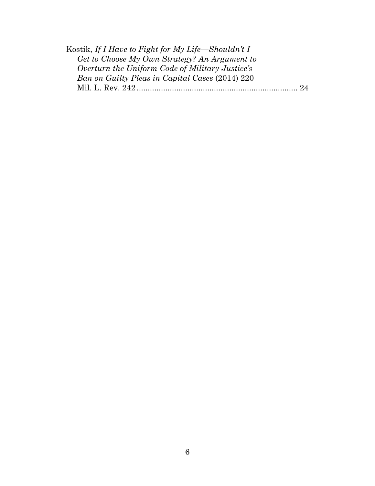| Kostik, If I Have to Fight for My Life—Shouldn't I |  |
|----------------------------------------------------|--|
| Get to Choose My Own Strategy? An Argument to      |  |
| Overturn the Uniform Code of Military Justice's    |  |
| Ban on Guilty Pleas in Capital Cases (2014) 220    |  |
|                                                    |  |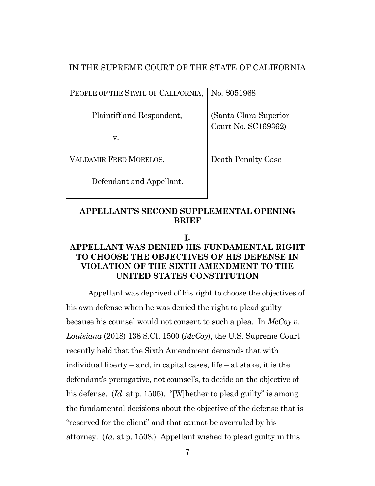#### IN THE SUPREME COURT OF THE STATE OF CALIFORNIA

PEOPLE OF THE STATE OF CALIFORNIA, No. S051968

Plaintiff and Respondent,

v.

VALDAMIR FRED MORELOS,

Defendant and Appellant.

(Santa Clara Superior Court No. SC169362)

Death Penalty Case

#### <span id="page-6-0"></span>**APPELLANT'S SECOND SUPPLEMENTAL OPENING BRIEF**

**.**

## <span id="page-6-1"></span>**APPELLANT WAS DENIED HIS FUNDAMENTAL RIGHT TO CHOOSE THE OBJECTIVES OF HIS DEFENSE IN VIOLATION OF THE SIXTH AMENDMENT TO THE UNITED STATES CONSTITUTION**

Appellant was deprived of his right to choose the objectives of his own defense when he was denied the right to plead guilty because his counsel would not consent to such a plea. In *McCoy v. Louisiana* (2018) 138 S.Ct. 1500 (*McCoy*), the U.S. Supreme Court recently held that the Sixth Amendment demands that with individual liberty – and, in capital cases, life – at stake, it is the defendant's prerogative, not counsel's, to decide on the objective of his defense. (*Id.* at p. 1505). "[W] hether to plead guilty" is among the fundamental decisions about the objective of the defense that is "reserved for the client" and that cannot be overruled by his attorney. (*Id*. at p. 1508.) Appellant wished to plead guilty in this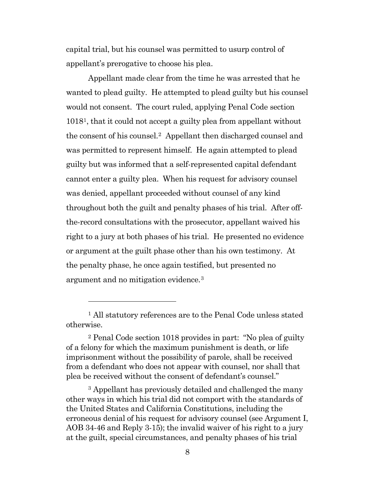capital trial, but his counsel was permitted to usurp control of appellant's prerogative to choose his plea.

Appellant made clear from the time he was arrested that he wanted to plead guilty. He attempted to plead guilty but his counsel would not consent. The court ruled, applying Penal Code section 101[81](#page-7-0), that it could not accept a guilty plea from appellant without the consent of his counsel.[2](#page-7-1) Appellant then discharged counsel and was permitted to represent himself. He again attempted to plead guilty but was informed that a self-represented capital defendant cannot enter a guilty plea. When his request for advisory counsel was denied, appellant proceeded without counsel of any kind throughout both the guilt and penalty phases of his trial. After offthe-record consultations with the prosecutor, appellant waived his right to a jury at both phases of his trial. He presented no evidence or argument at the guilt phase other than his own testimony. At the penalty phase, he once again testified, but presented no argument and no mitigation evidence.[3](#page-7-2)

<span id="page-7-0"></span><sup>&</sup>lt;sup>1</sup> All statutory references are to the Penal Code unless stated otherwise.

<span id="page-7-1"></span><sup>2</sup> Penal Code section 1018 provides in part: "No plea of guilty of a felony for which the maximum punishment is death, or life imprisonment without the possibility of parole, shall be received from a defendant who does not appear with counsel, nor shall that plea be received without the consent of defendant's counsel."

<span id="page-7-2"></span><sup>3</sup> Appellant has previously detailed and challenged the many other ways in which his trial did not comport with the standards of the United States and California Constitutions, including the erroneous denial of his request for advisory counsel (see Argument I, AOB 34-46 and Reply 3-15); the invalid waiver of his right to a jury at the guilt, special circumstances, and penalty phases of his trial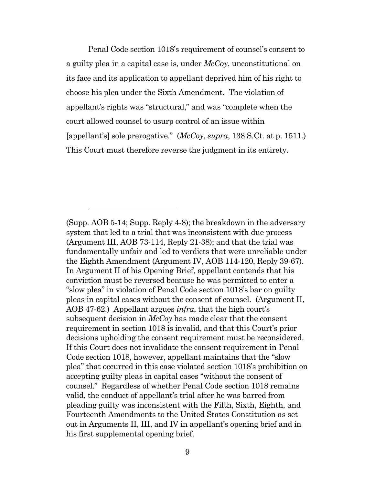Penal Code section 1018's requirement of counsel's consent to a guilty plea in a capital case is, under *McCoy*, unconstitutional on its face and its application to appellant deprived him of his right to choose his plea under the Sixth Amendment. The violation of appellant's rights was "structural," and was "complete when the court allowed counsel to usurp control of an issue within [appellant's] sole prerogative." (*McCoy*, *supra*, 138 S.Ct. at p. 1511.) This Court must therefore reverse the judgment in its entirety.

<sup>(</sup>Supp. AOB 5-14; Supp. Reply 4-8); the breakdown in the adversary system that led to a trial that was inconsistent with due process (Argument III, AOB 73-114, Reply 21-38); and that the trial was fundamentally unfair and led to verdicts that were unreliable under the Eighth Amendment (Argument IV, AOB 114-120, Reply 39-67). In Argument II of his Opening Brief, appellant contends that his conviction must be reversed because he was permitted to enter a "slow plea" in violation of Penal Code section 1018's bar on guilty pleas in capital cases without the consent of counsel. (Argument II, AOB 47-62.) Appellant argues *infra*, that the high court's subsequent decision in *McCoy* has made clear that the consent requirement in section 1018 is invalid, and that this Court's prior decisions upholding the consent requirement must be reconsidered. If this Court does not invalidate the consent requirement in Penal Code section 1018, however, appellant maintains that the "slow plea" that occurred in this case violated section 1018's prohibition on accepting guilty pleas in capital cases "without the consent of counsel." Regardless of whether Penal Code section 1018 remains valid, the conduct of appellant's trial after he was barred from pleading guilty was inconsistent with the Fifth, Sixth, Eighth, and Fourteenth Amendments to the United States Constitution as set out in Arguments II, III, and IV in appellant's opening brief and in his first supplemental opening brief.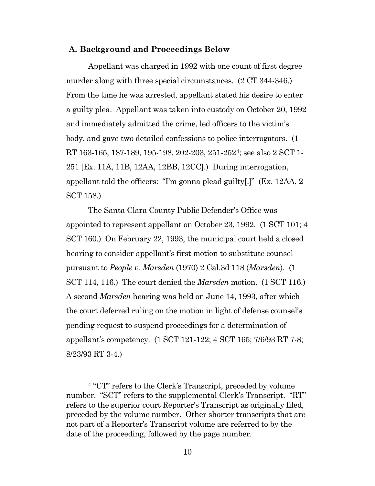#### <span id="page-9-0"></span>**A. Background and Proceedings Below**

Appellant was charged in 1992 with one count of first degree murder along with three special circumstances.  $(2 \text{ CT } 344-346.)$ From the time he was arrested, appellant stated his desire to enter a guilty plea. Appellant was taken into custody on October 20, 1992 and immediately admitted the crime, led officers to the victim's body, and gave two detailed confessions to police interrogators. (1 RT 163-165, 187-189, 195-198, 202-203, 251-252[4;](#page-9-1) see also 2 SCT 1- 251 [Ex. 11A, 11B, 12AA, 12BB, 12CC].) During interrogation, appellant told the officers: "I'm gonna plead guilty[.]" (Ex. 12AA, 2 SCT 158.)

The Santa Clara County Public Defender's Office was appointed to represent appellant on October 23, 1992. (1 SCT 101; 4 SCT 160.) On February 22, 1993, the municipal court held a closed hearing to consider appellant's first motion to substitute counsel pursuant to *People v. Marsden* (1970) 2 Cal.3d 118 (*Marsden*). (1 SCT 114, 116.) The court denied the *Marsden* motion. (1 SCT 116.) A second *Marsden* hearing was held on June 14, 1993, after which the court deferred ruling on the motion in light of defense counsel's pending request to suspend proceedings for a determination of appellant's competency. (1 SCT 121-122; 4 SCT 165; 7/6/93 RT 7-8; 8/23/93 RT 3-4.)

<span id="page-9-1"></span><sup>4</sup> "CT" refers to the Clerk's Transcript, preceded by volume number. "SCT" refers to the supplemental Clerk's Transcript. "RT" refers to the superior court Reporter's Transcript as originally filed, preceded by the volume number. Other shorter transcripts that are not part of a Reporter's Transcript volume are referred to by the date of the proceeding, followed by the page number.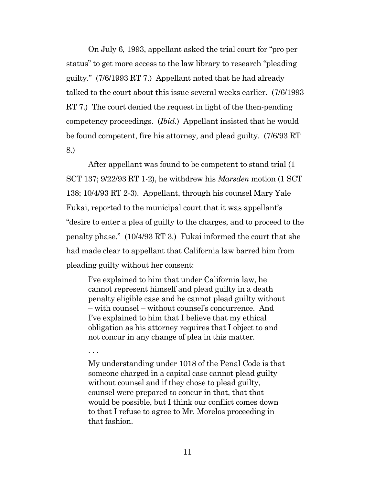On July 6, 1993, appellant asked the trial court for "pro per status" to get more access to the law library to research "pleading guilty." (7/6/1993 RT 7.) Appellant noted that he had already talked to the court about this issue several weeks earlier. (7/6/1993 RT 7.) The court denied the request in light of the then-pending competency proceedings. (*Ibid.*) Appellant insisted that he would be found competent, fire his attorney, and plead guilty. (7/6/93 RT 8.)

After appellant was found to be competent to stand trial (1 SCT 137; 9/22/93 RT 1-2), he withdrew his *Marsden* motion (1 SCT 138; 10/4/93 RT 2-3). Appellant, through his counsel Mary Yale Fukai, reported to the municipal court that it was appellant's "desire to enter a plea of guilty to the charges, and to proceed to the penalty phase." (10/4/93 RT 3.) Fukai informed the court that she had made clear to appellant that California law barred him from pleading guilty without her consent:

I've explained to him that under California law, he cannot represent himself and plead guilty in a death penalty eligible case and he cannot plead guilty without – with counsel – without counsel's concurrence. And I've explained to him that I believe that my ethical obligation as his attorney requires that I object to and not concur in any change of plea in this matter.

. . .

My understanding under 1018 of the Penal Code is that someone charged in a capital case cannot plead guilty without counsel and if they chose to plead guilty, counsel were prepared to concur in that, that that would be possible, but I think our conflict comes down to that I refuse to agree to Mr. Morelos proceeding in that fashion.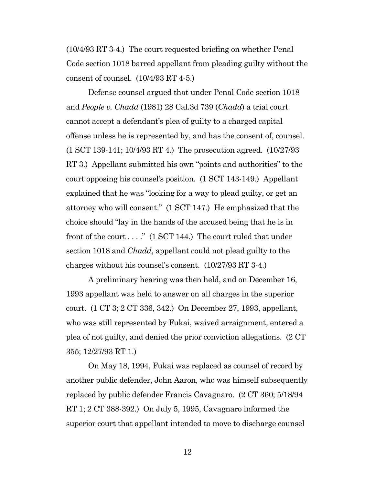(10/4/93 RT 3-4.) The court requested briefing on whether Penal Code section 1018 barred appellant from pleading guilty without the consent of counsel. (10/4/93 RT 4-5.)

Defense counsel argued that under Penal Code section 1018 and *People v. Chadd* (1981) 28 Cal.3d 739 (*Chadd*) a trial court cannot accept a defendant's plea of guilty to a charged capital offense unless he is represented by, and has the consent of, counsel. (1 SCT 139-141; 10/4/93 RT 4.) The prosecution agreed. (10/27/93 RT 3.) Appellant submitted his own "points and authorities" to the court opposing his counsel's position. (1 SCT 143-149.) Appellant explained that he was "looking for a way to plead guilty, or get an attorney who will consent." (1 SCT 147.) He emphasized that the choice should "lay in the hands of the accused being that he is in front of the court  $\dots$ ." (1 SCT 144.) The court ruled that under section 1018 and *Chadd*, appellant could not plead guilty to the charges without his counsel's consent. (10/27/93 RT 3-4.)

A preliminary hearing was then held, and on December 16, 1993 appellant was held to answer on all charges in the superior court. (1 CT 3; 2 CT 336, 342.) On December 27, 1993, appellant, who was still represented by Fukai, waived arraignment, entered a plea of not guilty, and denied the prior conviction allegations. (2 CT 355; 12/27/93 RT 1.)

On May 18, 1994, Fukai was replaced as counsel of record by another public defender, John Aaron, who was himself subsequently replaced by public defender Francis Cavagnaro. (2 CT 360; 5/18/94 RT 1; 2 CT 388-392.) On July 5, 1995, Cavagnaro informed the superior court that appellant intended to move to discharge counsel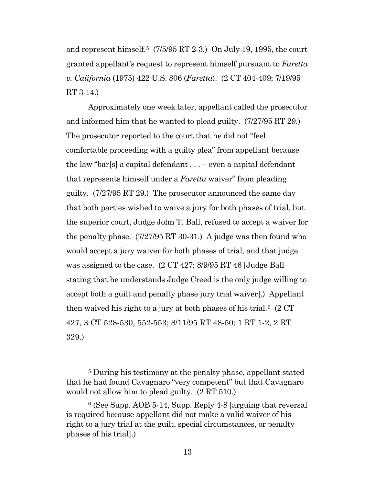and represent himself.<sup>[5](#page-12-0)</sup> (7/5/95 RT 2-3.) On July 19, 1995, the court granted appellant's request to represent himself pursuant to *Faretta v. California* (1975) 422 U.S. 806 (*Faretta*). (2 CT 404-409; 7/19/95 RT 3-14.)

Approximately one week later, appellant called the prosecutor and informed him that he wanted to plead guilty. (7/27/95 RT 29.) The prosecutor reported to the court that he did not "feel comfortable proceeding with a guilty plea" from appellant because the law "bar[s] a capital defendant  $\dots$  – even a capital defendant that represents himself under a *Faretta* waiver" from pleading guilty. (7/27/95 RT 29.) The prosecutor announced the same day that both parties wished to waive a jury for both phases of trial, but the superior court, Judge John T. Ball, refused to accept a waiver for the penalty phase. (7/27/95 RT 30-31.) A judge was then found who would accept a jury waiver for both phases of trial, and that judge was assigned to the case. (2 CT 427; 8/9/95 RT 46 [Judge Ball stating that he understands Judge Creed is the only judge willing to accept both a guilt and penalty phase jury trial waiver].) Appellant then waived his right to a jury at both phases of his trial.<sup>6</sup>  $(2 \text{ CT})$ 427, 3 CT 528-530, 552-553; 8/11/95 RT 48-50; 1 RT 1-2, 2 RT 329.)

<span id="page-12-0"></span><sup>5</sup> During his testimony at the penalty phase, appellant stated that he had found Cavagnaro "very competent" but that Cavagnaro would not allow him to plead guilty. (2 RT 510.)

<span id="page-12-1"></span><sup>6</sup> (See Supp. AOB 5-14, Supp. Reply 4-8 [arguing that reversal is required because appellant did not make a valid waiver of his right to a jury trial at the guilt, special circumstances, or penalty phases of his trial].)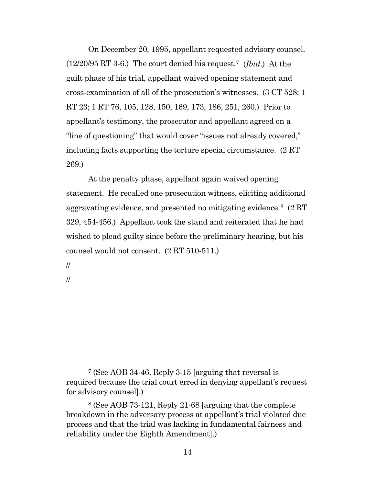On December 20, 1995, appellant requested advisory counsel. (12/20/95 RT 3-6.) The court denied his request.[7](#page-13-0) (*Ibid*.)At the guilt phase of his trial, appellant waived opening statement and cross-examination of all of the prosecution's witnesses. (3 CT 528; 1 RT 23; 1 RT 76, 105, 128, 150, 169, 173, 186, 251, 260.) Prior to appellant's testimony, the prosecutor and appellant agreed on a "line of questioning" that would cover "issues not already covered," including facts supporting the torture special circumstance. (2 RT 269.)

At the penalty phase, appellant again waived opening statement. He recalled one prosecution witness, eliciting additional aggravating evidence, and presented no mitigating evidence.[8](#page-13-1) (2 RT 329, 454-456.) Appellant took the stand and reiterated that he had wished to plead guilty since before the preliminary hearing, but his counsel would not consent. (2 RT 510-511.)

//

//

<span id="page-13-0"></span><sup>7</sup> (See AOB 34-46, Reply 3-15 [arguing that reversal is required because the trial court erred in denying appellant's request for advisory counsel].)

<span id="page-13-1"></span><sup>8</sup> (See AOB 73-121, Reply 21-68 [arguing that the complete breakdown in the adversary process at appellant's trial violated due process and that the trial was lacking in fundamental fairness and reliability under the Eighth Amendment].)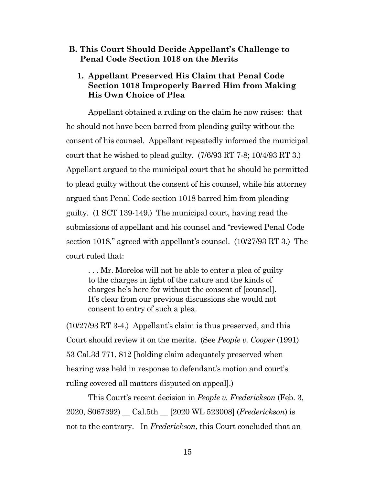#### <span id="page-14-0"></span>**B. This Court Should Decide Appellant's Challenge to Penal Code Section 1018 on the Merits**

#### <span id="page-14-1"></span>**1. Appellant Preserved His Claim that Penal Code Section 1018 Improperly Barred Him from Making His Own Choice of Plea**

Appellant obtained a ruling on the claim he now raises: that he should not have been barred from pleading guilty without the consent of his counsel. Appellant repeatedly informed the municipal court that he wished to plead guilty. (7/6/93 RT 7-8; 10/4/93 RT 3.) Appellant argued to the municipal court that he should be permitted to plead guilty without the consent of his counsel, while his attorney argued that Penal Code section 1018 barred him from pleading guilty. (1 SCT 139-149.) The municipal court, having read the submissions of appellant and his counsel and "reviewed Penal Code section 1018," agreed with appellant's counsel. (10/27/93 RT 3.) The court ruled that:

. . . Mr. Morelos will not be able to enter a plea of guilty to the charges in light of the nature and the kinds of charges he's here for without the consent of [counsel]. It's clear from our previous discussions she would not consent to entry of such a plea.

(10/27/93 RT 3-4.) Appellant's claim is thus preserved, and this Court should review it on the merits. (See *People v. Cooper* (1991) 53 Cal.3d 771, 812 [holding claim adequately preserved when hearing was held in response to defendant's motion and court's ruling covered all matters disputed on appeal].)

This Court's recent decision in *People v. Frederickson* (Feb. 3, 2020, S067392) \_\_ Cal.5th \_\_ [2020 WL 523008] (*Frederickson*) is not to the contrary. In *Frederickson*, this Court concluded that an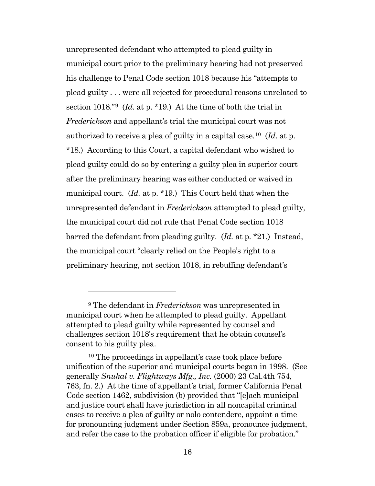unrepresented defendant who attempted to plead guilty in municipal court prior to the preliminary hearing had not preserved his challenge to Penal Code section 1018 because his "attempts to plead guilty . . . were all rejected for procedural reasons unrelated to section 1018."[9](#page-15-0) (*Id*. at p. \*19.) At the time of both the trial in *Frederickson* and appellant's trial the municipal court was not authorized to receive a plea of guilty in a capital case.[10](#page-15-1) (*Id*. at p. \*18.) According to this Court, a capital defendant who wished to plead guilty could do so by entering a guilty plea in superior court after the preliminary hearing was either conducted or waived in municipal court. (*Id.* at p. \*19.) This Court held that when the unrepresented defendant in *Frederickson* attempted to plead guilty, the municipal court did not rule that Penal Code section 1018 barred the defendant from pleading guilty. (*Id.* at p. \*21.) Instead, the municipal court "clearly relied on the People's right to a preliminary hearing, not section 1018, in rebuffing defendant's

<span id="page-15-0"></span><sup>9</sup> The defendant in *Frederickson* was unrepresented in municipal court when he attempted to plead guilty. Appellant attempted to plead guilty while represented by counsel and challenges section 1018's requirement that he obtain counsel's consent to his guilty plea.

<span id="page-15-1"></span><sup>10</sup> The proceedings in appellant's case took place before unification of the superior and municipal courts began in 1998. (See generally *Snukal v. Flightways Mfg., Inc.* (2000) 23 Cal.4th 754, 763, fn. 2.) At the time of appellant's trial, former California Penal Code section 1462, subdivision (b) provided that "[e]ach municipal and justice court shall have jurisdiction in all noncapital criminal cases to receive a plea of guilty or nolo contendere, appoint a time for pronouncing judgment under Section 859a, pronounce judgment, and refer the case to the probation officer if eligible for probation."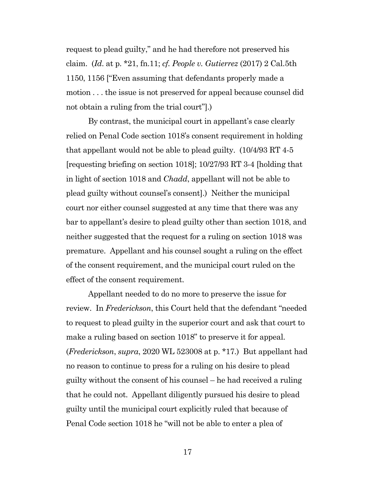request to plead guilty," and he had therefore not preserved his claim. (*Id*. at p. \*21, fn.11; *cf. People v. Gutierrez* (2017) 2 Cal.5th 1150, 1156 ["Even assuming that defendants properly made a motion . . . the issue is not preserved for appeal because counsel did not obtain a ruling from the trial court"].)

By contrast, the municipal court in appellant's case clearly relied on Penal Code section 1018's consent requirement in holding that appellant would not be able to plead guilty. (10/4/93 RT 4-5 [requesting briefing on section 1018]; 10/27/93 RT 3-4 [holding that in light of section 1018 and *Chadd*, appellant will not be able to plead guilty without counsel's consent].) Neither the municipal court nor either counsel suggested at any time that there was any bar to appellant's desire to plead guilty other than section 1018, and neither suggested that the request for a ruling on section 1018 was premature. Appellant and his counsel sought a ruling on the effect of the consent requirement, and the municipal court ruled on the effect of the consent requirement.

Appellant needed to do no more to preserve the issue for review. In *Frederickson*, this Court held that the defendant "needed to request to plead guilty in the superior court and ask that court to make a ruling based on section 1018" to preserve it for appeal. (*Frederickson*, *supra*, 2020 WL 523008 at p. \*17.) But appellant had no reason to continue to press for a ruling on his desire to plead guilty without the consent of his counsel – he had received a ruling that he could not. Appellant diligently pursued his desire to plead guilty until the municipal court explicitly ruled that because of Penal Code section 1018 he "will not be able to enter a plea of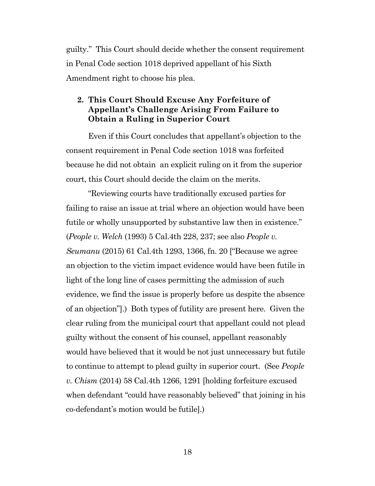guilty." This Court should decide whether the consent requirement in Penal Code section 1018 deprived appellant of his Sixth Amendment right to choose his plea.

### <span id="page-17-0"></span>**2. This Court Should Excuse Any Forfeiture of Appellant's Challenge Arising From Failure to Obtain a Ruling in Superior Court**

Even if this Court concludes that appellant's objection to the consent requirement in Penal Code section 1018 was forfeited because he did not obtain an explicit ruling on it from the superior court, this Court should decide the claim on the merits.

"Reviewing courts have traditionally excused parties for failing to raise an issue at trial where an objection would have been futile or wholly unsupported by substantive law then in existence." (*People v. Welch* (1993) 5 Cal.4th 228, 237; see also *People v. Seumanu* (2015) 61 Cal.4th 1293, 1366, fn. 20 ["Because we agree an objection to the victim impact evidence would have been futile in light of the long line of cases permitting the admission of such evidence, we find the issue is properly before us despite the absence of an objection"].) Both types of futility are present here. Given the clear ruling from the municipal court that appellant could not plead guilty without the consent of his counsel, appellant reasonably would have believed that it would be not just unnecessary but futile to continue to attempt to plead guilty in superior court. (See *People v. Chism* (2014) 58 Cal.4th 1266, 1291 [holding forfeiture excused when defendant "could have reasonably believed" that joining in his co-defendant's motion would be futile].)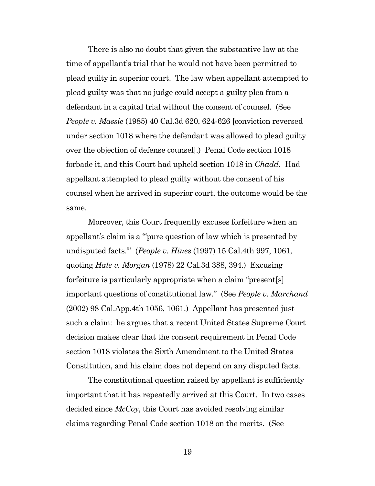There is also no doubt that given the substantive law at the time of appellant's trial that he would not have been permitted to plead guilty in superior court. The law when appellant attempted to plead guilty was that no judge could accept a guilty plea from a defendant in a capital trial without the consent of counsel. (See *People v. Massie* (1985) 40 Cal.3d 620, 624-626 [conviction reversed under section 1018 where the defendant was allowed to plead guilty over the objection of defense counsel].) Penal Code section 1018 forbade it, and this Court had upheld section 1018 in *Chadd*. Had appellant attempted to plead guilty without the consent of his counsel when he arrived in superior court, the outcome would be the same.

Moreover, this Court frequently excuses forfeiture when an appellant's claim is a "'pure question of law which is presented by undisputed facts.'" (*People v. Hines* (1997) 15 Cal.4th 997, 1061, quoting *Hale v. Morgan* (1978) 22 Cal.3d 388, 394.) Excusing forfeiture is particularly appropriate when a claim "present[s] important questions of constitutional law." (See *People v. Marchand* (2002) 98 Cal.App.4th 1056, 1061.) Appellant has presented just such a claim: he argues that a recent United States Supreme Court decision makes clear that the consent requirement in Penal Code section 1018 violates the Sixth Amendment to the United States Constitution, and his claim does not depend on any disputed facts.

The constitutional question raised by appellant is sufficiently important that it has repeatedly arrived at this Court. In two cases decided since *McCoy*, this Court has avoided resolving similar claims regarding Penal Code section 1018 on the merits. (See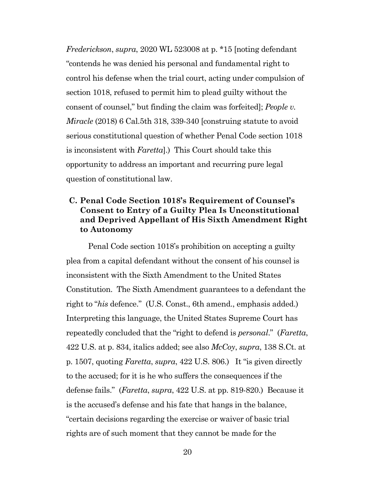*Frederickson*, *supra*, 2020 WL 523008 at p. \*15 [noting defendant "contends he was denied his personal and fundamental right to control his defense when the trial court, acting under compulsion of section 1018, refused to permit him to plead guilty without the consent of counsel," but finding the claim was forfeited]; *People v. Miracle* (2018) 6 Cal.5th 318, 339-340 [construing statute to avoid serious constitutional question of whether Penal Code section 1018 is inconsistent with *Faretta*].) This Court should take this opportunity to address an important and recurring pure legal question of constitutional law.

## <span id="page-19-0"></span>**C. Penal Code Section 1018's Requirement of Counsel's Consent to Entry of a Guilty Plea Is Unconstitutional and Deprived Appellant of His Sixth Amendment Right to Autonomy**

Penal Code section 1018's prohibition on accepting a guilty plea from a capital defendant without the consent of his counsel is inconsistent with the Sixth Amendment to the United States Constitution. The Sixth Amendment guarantees to a defendant the right to "*his* defence." (U.S. Const., 6th amend., emphasis added.) Interpreting this language, the United States Supreme Court has repeatedly concluded that the "right to defend is *personal*." (*Faretta*, 422 U.S. at p. 834, italics added; see also *McCoy*, *supra*, 138 S.Ct. at p. 1507, quoting *Faretta*, *supra*, 422 U.S. 806.) It "is given directly to the accused; for it is he who suffers the consequences if the defense fails." (*Faretta*, *supra*, 422 U.S. at pp. 819-820.) Because it is the accused's defense and his fate that hangs in the balance, "certain decisions regarding the exercise or waiver of basic trial rights are of such moment that they cannot be made for the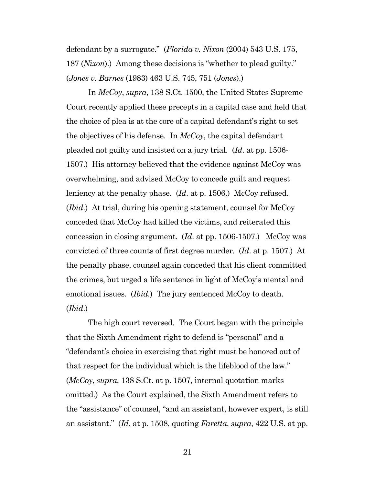defendant by a surrogate." (*Florida v. Nixon* (2004) 543 U.S. 175, 187 (*Nixon*).) Among these decisions is "whether to plead guilty." (*Jones v. Barnes* (1983) 463 U.S. 745, 751 (*Jones*).)

In *McCoy*, *supra*, 138 S.Ct. 1500, the United States Supreme Court recently applied these precepts in a capital case and held that the choice of plea is at the core of a capital defendant's right to set the objectives of his defense. In *McCoy*, the capital defendant pleaded not guilty and insisted on a jury trial. (*Id*. at pp. 1506- 1507.) His attorney believed that the evidence against McCoy was overwhelming, and advised McCoy to concede guilt and request leniency at the penalty phase. (*Id*. at p. 1506.) McCoy refused. (*Ibid*.) At trial, during his opening statement, counsel for McCoy conceded that McCoy had killed the victims, and reiterated this concession in closing argument. (*Id*. at pp. 1506-1507.) McCoy was convicted of three counts of first degree murder. (*Id*. at p. 1507.) At the penalty phase, counsel again conceded that his client committed the crimes, but urged a life sentence in light of McCoy's mental and emotional issues. *(Ibid.)* The jury sentenced McCoy to death. (*Ibid*.)

The high court reversed. The Court began with the principle that the Sixth Amendment right to defend is "personal" and a "defendant's choice in exercising that right must be honored out of that respect for the individual which is the lifeblood of the law." (*McCoy*, *supra*, 138 S.Ct. at p. 1507, internal quotation marks omitted.) As the Court explained, the Sixth Amendment refers to the "assistance" of counsel, "and an assistant, however expert, is still an assistant." (*Id*. at p. 1508, quoting *Faretta*, *supra*, 422 U.S. at pp.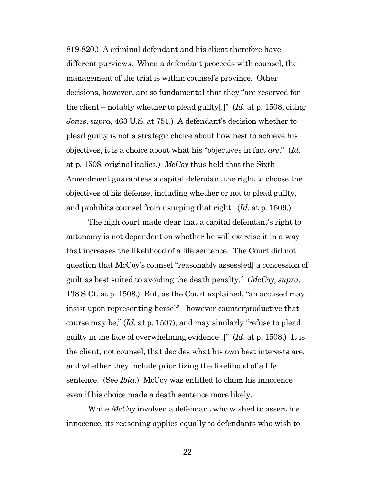819-820.) A criminal defendant and his client therefore have different purviews. When a defendant proceeds with counsel, the management of the trial is within counsel's province. Other decisions, however, are so fundamental that they "are reserved for the client – notably whether to plead guilty[.]" (*Id*. at p. 1508, citing *Jones*, *supra*, 463 U.S. at 751.) A defendant's decision whether to plead guilty is not a strategic choice about how best to achieve his objectives, it is a choice about what his "objectives in fact *are*." (*Id*. at p. 1508, original italics.) *McCoy* thus held that the Sixth Amendment guarantees a capital defendant the right to choose the objectives of his defense, including whether or not to plead guilty, and prohibits counsel from usurping that right. (*Id*. at p. 1509.)

The high court made clear that a capital defendant's right to autonomy is not dependent on whether he will exercise it in a way that increases the likelihood of a life sentence. The Court did not question that McCoy's counsel "reasonably assess[ed] a concession of guilt as best suited to avoiding the death penalty." (*McCoy*, *supra*, 138 S.Ct. at p. 1508.) But, as the Court explained, "an accused may insist upon representing herself—however counterproductive that course may be," (*Id*. at p. 1507), and may similarly "refuse to plead guilty in the face of overwhelming evidence[.]" (*Id*. at p. 1508.) It is the client, not counsel, that decides what his own best interests are, and whether they include prioritizing the likelihood of a life sentence. (See *Ibid.*) McCoy was entitled to claim his innocence even if his choice made a death sentence more likely.

While *McCoy* involved a defendant who wished to assert his innocence, its reasoning applies equally to defendants who wish to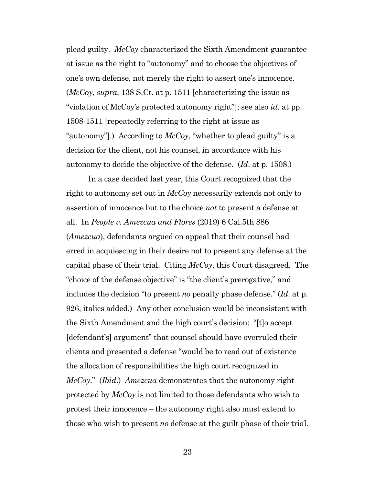plead guilty. *McCoy* characterized the Sixth Amendment guarantee at issue as the right to "autonomy" and to choose the objectives of one's own defense, not merely the right to assert one's innocence. (*McCoy*, *supra*, 138 S.Ct. at p. 1511 [characterizing the issue as "violation of McCoy's protected autonomy right"]; see also *id*. at pp. 1508-1511 [repeatedly referring to the right at issue as "autonomy"].) According to *McCoy*, "whether to plead guilty" is a decision for the client, not his counsel, in accordance with his autonomy to decide the objective of the defense. (*Id*. at p. 1508.)

In a case decided last year, this Court recognized that the right to autonomy set out in *McCoy* necessarily extends not only to assertion of innocence but to the choice *not* to present a defense at all. In *People v. Amezcua and Flores* (2019) 6 Cal.5th 886 (*Amezcua*), defendants argued on appeal that their counsel had erred in acquiescing in their desire not to present any defense at the capital phase of their trial. Citing *McCoy*, this Court disagreed. The "choice of the defense objective" is "the client's prerogative," and includes the decision "to present *no* penalty phase defense." (*Id*. at p. 926, italics added.) Any other conclusion would be inconsistent with the Sixth Amendment and the high court's decision: "[t]o accept [defendant's] argument" that counsel should have overruled their clients and presented a defense "would be to read out of existence the allocation of responsibilities the high court recognized in *McCoy*." (*Ibid*.) *Amezcua* demonstrates that the autonomy right protected by *McCoy* is not limited to those defendants who wish to protest their innocence – the autonomy right also must extend to those who wish to present *no* defense at the guilt phase of their trial.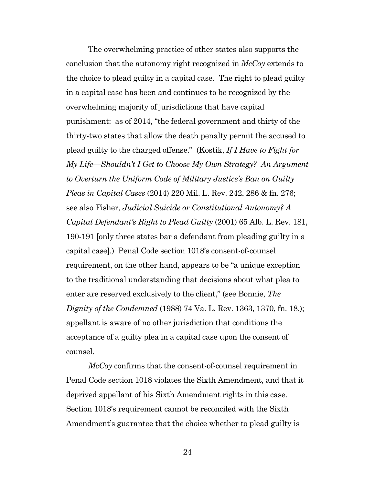The overwhelming practice of other states also supports the conclusion that the autonomy right recognized in *McCoy* extends to the choice to plead guilty in a capital case. The right to plead guilty in a capital case has been and continues to be recognized by the overwhelming majority of jurisdictions that have capital punishment: as of 2014, "the federal government and thirty of the thirty-two states that allow the death penalty permit the accused to plead guilty to the charged offense." (Kostik, *If I Have to Fight for My Life—Shouldn't I Get to Choose My Own Strategy? An Argument to Overturn the Uniform Code of Military Justice's Ban on Guilty Pleas in Capital Cases* (2014) 220 Mil. L. Rev. 242, 286 & fn. 276; see also Fisher, *Judicial Suicide or Constitutional Autonomy? A Capital Defendant's Right to Plead Guilty* (2001) 65 Alb. L. Rev. 181, 190-191 [only three states bar a defendant from pleading guilty in a capital case].) Penal Code section 1018's consent-of-counsel requirement, on the other hand, appears to be "a unique exception to the traditional understanding that decisions about what plea to enter are reserved exclusively to the client," (see Bonnie, *The Dignity of the Condemned* (1988) 74 Va. L. Rev. 1363, 1370, fn. 18.); appellant is aware of no other jurisdiction that conditions the acceptance of a guilty plea in a capital case upon the consent of counsel.

*McCoy* confirms that the consent-of-counsel requirement in Penal Code section 1018 violates the Sixth Amendment, and that it deprived appellant of his Sixth Amendment rights in this case. Section 1018's requirement cannot be reconciled with the Sixth Amendment's guarantee that the choice whether to plead guilty is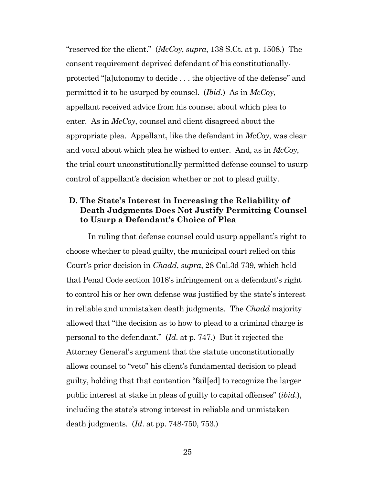"reserved for the client." (*McCoy*, *supra*, 138 S.Ct. at p. 1508.) The consent requirement deprived defendant of his constitutionallyprotected "[a]utonomy to decide . . . the objective of the defense" and permitted it to be usurped by counsel. (*Ibid*.) As in *McCoy*, appellant received advice from his counsel about which plea to enter. As in *McCoy*, counsel and client disagreed about the appropriate plea. Appellant, like the defendant in *McCoy*, was clear and vocal about which plea he wished to enter. And, as in *McCoy*, the trial court unconstitutionally permitted defense counsel to usurp control of appellant's decision whether or not to plead guilty.

## <span id="page-24-0"></span>**D. The State's Interest in Increasing the Reliability of Death Judgments Does Not Justify Permitting Counsel to Usurp a Defendant's Choice of Plea**

In ruling that defense counsel could usurp appellant's right to choose whether to plead guilty, the municipal court relied on this Court's prior decision in *Chadd*, *supra*, 28 Cal.3d 739, which held that Penal Code section 1018's infringement on a defendant's right to control his or her own defense was justified by the state's interest in reliable and unmistaken death judgments. The *Chadd* majority allowed that "the decision as to how to plead to a criminal charge is personal to the defendant." (*Id*. at p. 747.) But it rejected the Attorney General's argument that the statute unconstitutionally allows counsel to "veto" his client's fundamental decision to plead guilty, holding that that contention "fail[ed] to recognize the larger public interest at stake in pleas of guilty to capital offenses" (*ibid*.), including the state's strong interest in reliable and unmistaken death judgments. (*Id*. at pp. 748-750, 753.)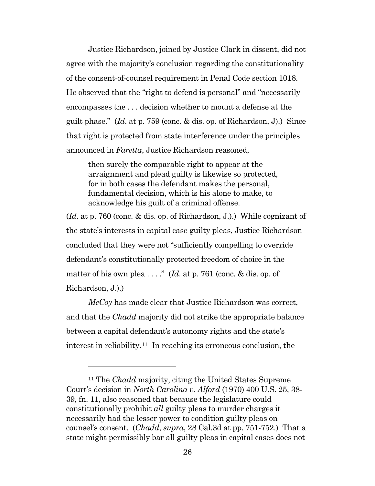Justice Richardson, joined by Justice Clark in dissent, did not agree with the majority's conclusion regarding the constitutionality of the consent-of-counsel requirement in Penal Code section 1018. He observed that the "right to defend is personal" and "necessarily encompasses the . . . decision whether to mount a defense at the guilt phase." (*Id*. at p. 759 (conc. & dis. op. of Richardson, J).) Since that right is protected from state interference under the principles announced in *Faretta*, Justice Richardson reasoned,

then surely the comparable right to appear at the arraignment and plead guilty is likewise so protected, for in both cases the defendant makes the personal, fundamental decision, which is his alone to make, to acknowledge his guilt of a criminal offense.

(*Id*. at p. 760 (conc. & dis. op. of Richardson, J.).) While cognizant of the state's interests in capital case guilty pleas, Justice Richardson concluded that they were not "sufficiently compelling to override defendant's constitutionally protected freedom of choice in the matter of his own plea . . . ." (*Id*. at p. 761 (conc. & dis. op. of Richardson, J.).)

*McCoy* has made clear that Justice Richardson was correct, and that the *Chadd* majority did not strike the appropriate balance between a capital defendant's autonomy rights and the state's interest in reliability.<sup>[11](#page-25-0)</sup> In reaching its erroneous conclusion, the

<span id="page-25-0"></span><sup>11</sup> The *Chadd* majority, citing the United States Supreme Court's decision in *North Carolina v. Alford* (1970) 400 U.S. 25, 38- 39, fn. 11, also reasoned that because the legislature could constitutionally prohibit *all* guilty pleas to murder charges it necessarily had the lesser power to condition guilty pleas on counsel's consent. (*Chadd*, *supra*, 28 Cal.3d at pp. 751-752.) That a state might permissibly bar all guilty pleas in capital cases does not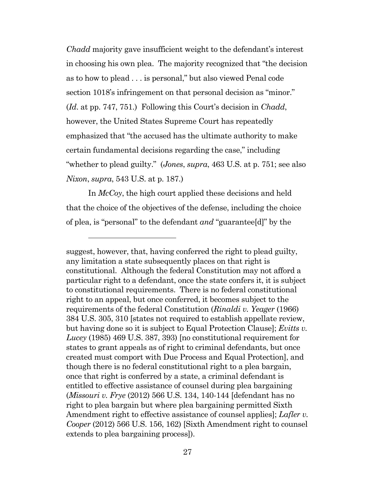*Chadd* majority gave insufficient weight to the defendant's interest in choosing his own plea. The majority recognized that "the decision as to how to plead . . . is personal," but also viewed Penal code section 1018's infringement on that personal decision as "minor." (*Id*. at pp. 747, 751.) Following this Court's decision in *Chadd*, however, the United States Supreme Court has repeatedly emphasized that "the accused has the ultimate authority to make certain fundamental decisions regarding the case," including "whether to plead guilty." (*Jones*, *supra*, 463 U.S. at p. 751; see also *Nixon*, *supra*, 543 U.S. at p. 187.)

In *McCoy*, the high court applied these decisions and held that the choice of the objectives of the defense, including the choice of plea, is "personal" to the defendant *and* "guarantee[d]" by the

suggest, however, that, having conferred the right to plead guilty, any limitation a state subsequently places on that right is constitutional. Although the federal Constitution may not afford a particular right to a defendant, once the state confers it, it is subject to constitutional requirements. There is no federal constitutional right to an appeal, but once conferred, it becomes subject to the requirements of the federal Constitution (*Rinaldi v. Yeager* (1966) 384 U.S. 305, 310 [states not required to establish appellate review, but having done so it is subject to Equal Protection Clause]; *Evitts v. Lucey* (1985) 469 U.S. 387, 393) [no constitutional requirement for states to grant appeals as of right to criminal defendants, but once created must comport with Due Process and Equal Protection], and though there is no federal constitutional right to a plea bargain, once that right is conferred by a state, a criminal defendant is entitled to effective assistance of counsel during plea bargaining (*Missouri v. Frye* (2012) 566 U.S. 134, 140-144 [defendant has no right to plea bargain but where plea bargaining permitted Sixth Amendment right to effective assistance of counsel applies]; *Lafler v. Cooper* (2012) 566 U.S. 156, 162) [Sixth Amendment right to counsel extends to plea bargaining process]).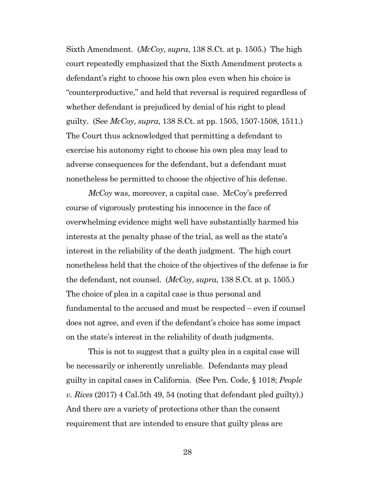Sixth Amendment. (*McCoy*, *supra*, 138 S.Ct. at p. 1505.) The high court repeatedly emphasized that the Sixth Amendment protects a defendant's right to choose his own plea even when his choice is "counterproductive," and held that reversal is required regardless of whether defendant is prejudiced by denial of his right to plead guilty. (See *McCoy*, *supra*, 138 S.Ct. at pp. 1505, 1507-1508, 1511.) The Court thus acknowledged that permitting a defendant to exercise his autonomy right to choose his own plea may lead to adverse consequences for the defendant, but a defendant must nonetheless be permitted to choose the objective of his defense.

*McCoy* was, moreover, a capital case. McCoy's preferred course of vigorously protesting his innocence in the face of overwhelming evidence might well have substantially harmed his interests at the penalty phase of the trial, as well as the state's interest in the reliability of the death judgment. The high court nonetheless held that the choice of the objectives of the defense is for the defendant, not counsel. (*McCoy*, *supra*, 138 S.Ct. at p. 1505.) The choice of plea in a capital case is thus personal and fundamental to the accused and must be respected – even if counsel does not agree, and even if the defendant's choice has some impact on the state's interest in the reliability of death judgments.

This is not to suggest that a guilty plea in a capital case will be necessarily or inherently unreliable. Defendants may plead guilty in capital cases in California. (See Pen. Code, § 1018; *People v. Rices* (2017) 4 Cal.5th 49, 54 (noting that defendant pled guilty).) And there are a variety of protections other than the consent requirement that are intended to ensure that guilty pleas are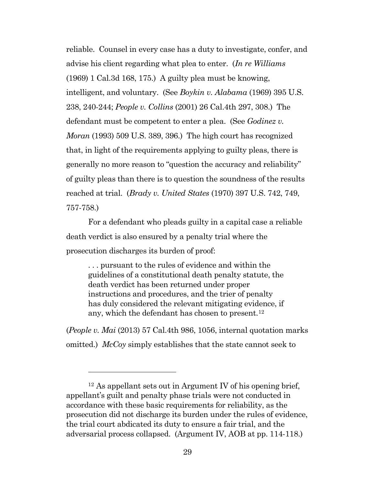reliable. Counsel in every case has a duty to investigate, confer, and advise his client regarding what plea to enter. (*In re Williams* (1969) 1 Cal.3d 168, 175.) A guilty plea must be knowing, intelligent, and voluntary. (See *Boykin v. Alabama* (1969) 395 U.S. 238, 240-244; *People v. Collins* (2001) 26 Cal.4th 297, 308.) The defendant must be competent to enter a plea. (See *Godinez v. Moran* (1993) 509 U.S. 389, 396.) The high court has recognized that, in light of the requirements applying to guilty pleas, there is generally no more reason to "question the accuracy and reliability" of guilty pleas than there is to question the soundness of the results reached at trial. (*Brady v. United States* (1970) 397 U.S. 742, 749, 757-758.)

For a defendant who pleads guilty in a capital case a reliable death verdict is also ensured by a penalty trial where the prosecution discharges its burden of proof:

. . . pursuant to the rules of evidence and within the guidelines of a constitutional death penalty statute, the death verdict has been returned under proper instructions and procedures, and the trier of penalty has duly considered the relevant mitigating evidence, if any, which the defendant has chosen to present.<sup>12</sup>

(*People v. Mai* (2013) 57 Cal.4th 986, 1056, internal quotation marks omitted.) *McCoy* simply establishes that the state cannot seek to

<span id="page-28-0"></span> $12$  As appellant sets out in Argument IV of his opening brief, appellant's guilt and penalty phase trials were not conducted in accordance with these basic requirements for reliability, as the prosecution did not discharge its burden under the rules of evidence, the trial court abdicated its duty to ensure a fair trial, and the adversarial process collapsed. (Argument IV, AOB at pp. 114-118.)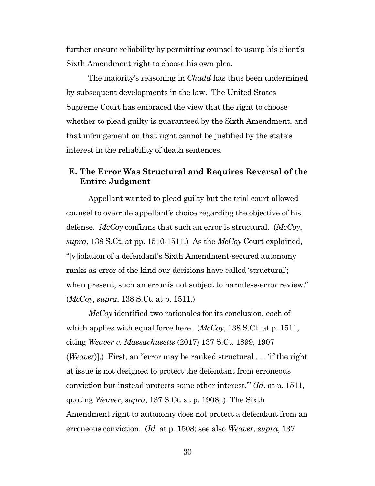further ensure reliability by permitting counsel to usurp his client's Sixth Amendment right to choose his own plea.

The majority's reasoning in *Chadd* has thus been undermined by subsequent developments in the law. The United States Supreme Court has embraced the view that the right to choose whether to plead guilty is guaranteed by the Sixth Amendment, and that infringement on that right cannot be justified by the state's interest in the reliability of death sentences.

#### <span id="page-29-0"></span>**E. The Error Was Structural and Requires Reversal of the Entire Judgment**

Appellant wanted to plead guilty but the trial court allowed counsel to overrule appellant's choice regarding the objective of his defense. *McCoy* confirms that such an error is structural. (*McCoy*, *supra*, 138 S.Ct. at pp. 1510-1511.) As the *McCoy* Court explained, "[v]iolation of a defendant's Sixth Amendment-secured autonomy ranks as error of the kind our decisions have called 'structural'; when present, such an error is not subject to harmless-error review." (*McCoy*, *supra*, 138 S.Ct. at p. 1511.)

*McCoy* identified two rationales for its conclusion, each of which applies with equal force here. (*McCoy*, 138 S.Ct. at p. 1511, citing *Weaver v. Massachusetts* (2017) 137 S.Ct. 1899, 1907 (*Weaver*)].) First, an "error may be ranked structural . . . 'if the right at issue is not designed to protect the defendant from erroneous conviction but instead protects some other interest.'" (*Id*. at p. 1511, quoting *Weaver*, *supra*, 137 S.Ct. at p. 1908].) The Sixth Amendment right to autonomy does not protect a defendant from an erroneous conviction. (*Id.* at p. 1508; see also *Weaver*, *supra*, 137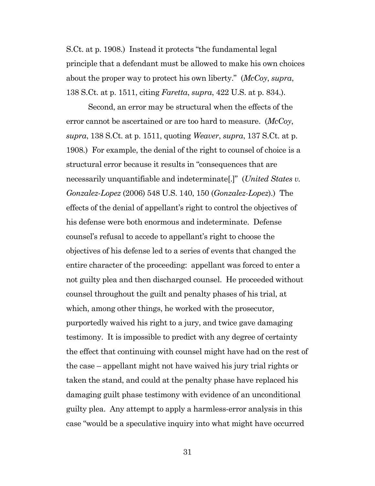S.Ct. at p. 1908.) Instead it protects "the fundamental legal principle that a defendant must be allowed to make his own choices about the proper way to protect his own liberty." (*McCoy*, *supra*, 138 S.Ct. at p. 1511, citing *Faretta*, *supra*, 422 U.S. at p. 834.).

Second, an error may be structural when the effects of the error cannot be ascertained or are too hard to measure. (*McCoy*, *supra*, 138 S.Ct. at p. 1511, quoting *Weaver*, *supra*, 137 S.Ct. at p. 1908.) For example, the denial of the right to counsel of choice is a structural error because it results in "consequences that are necessarily unquantifiable and indeterminate[.]" (*United States v. Gonzalez-Lopez* (2006) 548 U.S. 140, 150 (*Gonzalez-Lopez*).) The effects of the denial of appellant's right to control the objectives of his defense were both enormous and indeterminate. Defense counsel's refusal to accede to appellant's right to choose the objectives of his defense led to a series of events that changed the entire character of the proceeding: appellant was forced to enter a not guilty plea and then discharged counsel. He proceeded without counsel throughout the guilt and penalty phases of his trial, at which, among other things, he worked with the prosecutor, purportedly waived his right to a jury, and twice gave damaging testimony. It is impossible to predict with any degree of certainty the effect that continuing with counsel might have had on the rest of the case – appellant might not have waived his jury trial rights or taken the stand, and could at the penalty phase have replaced his damaging guilt phase testimony with evidence of an unconditional guilty plea. Any attempt to apply a harmless-error analysis in this case "would be a speculative inquiry into what might have occurred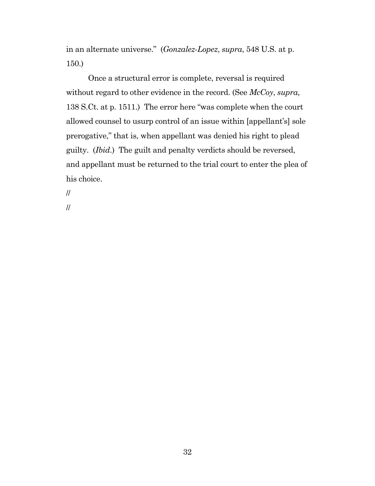in an alternate universe." (*Gonzalez*-*Lopez*, *supra*, 548 U.S. at p. 150.)

Once a structural error is complete, reversal is required without regard to other evidence in the record. (See *McCoy*, *supra*, 138 S.Ct. at p. 1511.) The error here "was complete when the court allowed counsel to usurp control of an issue within [appellant's] sole prerogative," that is, when appellant was denied his right to plead guilty. (*Ibid*.) The guilt and penalty verdicts should be reversed, and appellant must be returned to the trial court to enter the plea of his choice.

//

//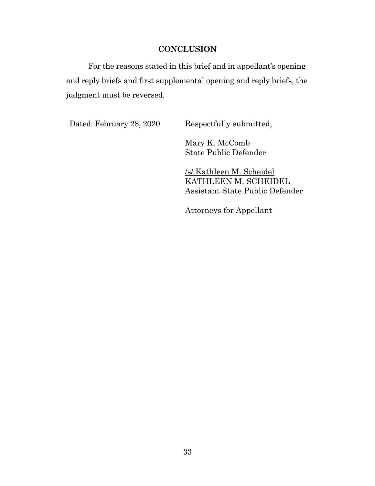#### **CONCLUSION**

<span id="page-32-0"></span>For the reasons stated in this brief and in appellant's opening and reply briefs and first supplemental opening and reply briefs, the judgment must be reversed.

Dated: February 28, 2020 Respectfully submitted,

Mary K. McComb State Public Defender

/s/ Kathleen M. Scheidel KATHLEEN M. SCHEIDEL Assistant State Public Defender

Attorneys for Appellant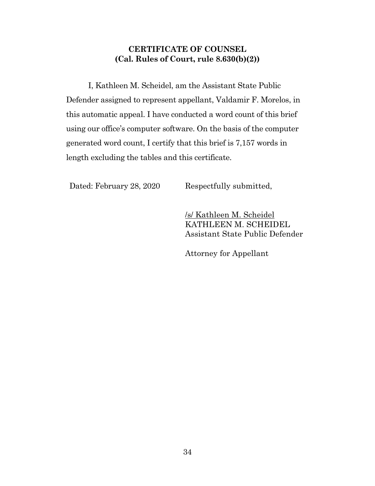## **CERTIFICATE OF COUNSEL (Cal. Rules of Court, rule 8.630(b)(2))**

<span id="page-33-0"></span>I, Kathleen M. Scheidel, am the Assistant State Public Defender assigned to represent appellant, Valdamir F. Morelos, in this automatic appeal. I have conducted a word count of this brief using our office's computer software. On the basis of the computer generated word count, I certify that this brief is 7,157 words in length excluding the tables and this certificate.

Dated: February 28, 2020 Respectfully submitted,

/s/ Kathleen M. Scheidel KATHLEEN M. SCHEIDEL Assistant State Public Defender

Attorney for Appellant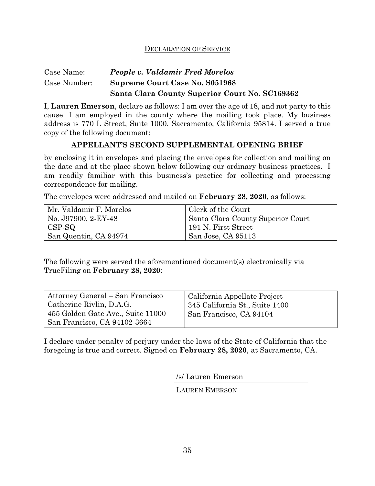#### DECLARATION OF SERVICE

#### Case Name: Case Number: *People v. Valdamir Fred Morelos*  **Supreme Court Case No. S051968 Santa Clara County Superior Court No. SC169362**

I, **Lauren Emerson**, declare as follows: I am over the age of 18, and not party to this cause. I am employed in the county where the mailing took place. My business address is 770 L Street, Suite 1000, Sacramento, California 95814. I served a true copy of the following document:

#### **APPELLANT'S SECOND SUPPLEMENTAL OPENING BRIEF**

by enclosing it in envelopes and placing the envelopes for collection and mailing on the date and at the place shown below following our ordinary business practices. I am readily familiar with this business's practice for collecting and processing correspondence for mailing.

The envelopes were addressed and mailed on **February 28, 2020**, as follows:

| Mr. Valdamir F. Morelos | Clerk of the Court                |
|-------------------------|-----------------------------------|
| No. J97900, 2-EY-48     | Santa Clara County Superior Court |
| CSP-SQ                  | 191 N. First Street               |
| San Quentin, CA 94974   | San Jose, CA 95113                |

The following were served the aforementioned document(s) electronically via TrueFiling on **February 28, 2020**:

| Attorney General – San Francisco                                  | California Appellate Project   |
|-------------------------------------------------------------------|--------------------------------|
| Catherine Rivlin, D.A.G.                                          | 345 California St., Suite 1400 |
| 455 Golden Gate Ave., Suite 11000<br>San Francisco, CA 94102-3664 | San Francisco, CA 94104        |

I declare under penalty of perjury under the laws of the State of California that the foregoing is true and correct. Signed on **February 28, 2020**, at Sacramento, CA.

/s/ Lauren Emerson

LAUREN EMERSON